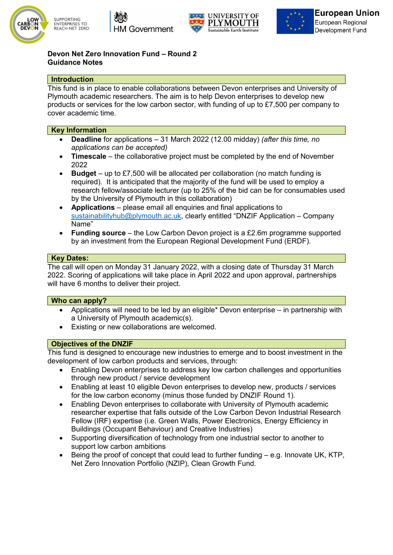







# **Devon Net Zero Innovation Fund – Round 2 Guidance Notes**

# **Introduction**

This fund is in place to enable collaborations between Devon enterprises and University of Plymouth academic researchers. The aim is to help Devon enterprises to develop new products or services for the low carbon sector, with funding of up to £7,500 per company to cover academic time.

## **Key Information**

- **Deadline** for applications 31 March 2022 (12.00 midday) *(after this time, no applications can be accepted)*
- **Timescale** the collaborative project must be completed by the end of November 2022
- **Budget** up to £7,500 will be allocated per collaboration (no match funding is required). It is anticipated that the majority of the fund will be used to employ a research fellow/associate lecturer (up to 25% of the bid can be for consumables used by the University of Plymouth in this collaboration)
- **Applications** please email all enquiries and final applications to [sustainabilityhub@plymouth.ac.uk,](mailto:sustainabilityhub@plymouth.ac.uk) clearly entitled "DNZIF Application – Company Name"
- **Funding source**  the Low Carbon Devon project is a £2.6m programme supported by an investment from the European Regional Development Fund (ERDF).

## **Key Dates:**

The call will open on Monday 31 January 2022, with a closing date of Thursday 31 March 2022. Scoring of applications will take place in April 2022 and upon approval, partnerships will have 6 months to deliver their project.

## **Who can apply?**

- Applications will need to be led by an eligible\* Devon enterprise in partnership with a University of Plymouth academic(s).
- Existing or new collaborations are welcomed.

# **Objectives of the DNZIF**

This fund is designed to encourage new industries to emerge and to boost investment in the development of low carbon products and services, through:

- Enabling Devon enterprises to address key low carbon challenges and opportunities through new product / service development
- Enabling at least 10 eligible Devon enterprises to develop new, products / services for the low carbon economy (minus those funded by DNZIF Round 1).
- Enabling Devon enterprises to collaborate with University of Plymouth academic researcher expertise that falls outside of the Low Carbon Devon Industrial Research Fellow (IRF) expertise (i.e. Green Walls, Power Electronics, Energy Efficiency in Buildings (Occupant Behaviour) and Creative Industries)
- Supporting diversification of technology from one industrial sector to another to support low carbon ambitions
- Being the proof of concept that could lead to further funding e.g. Innovate UK, KTP, Net Zero Innovation Portfolio (NZIP), Clean Growth Fund.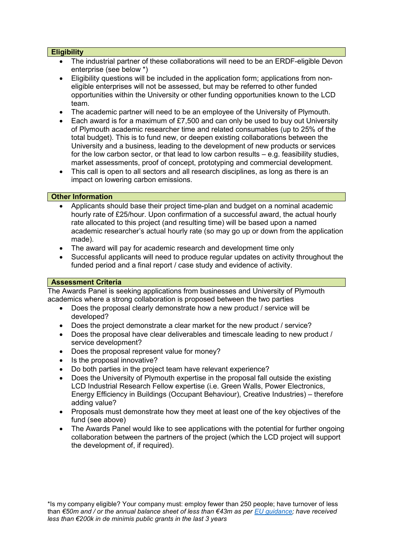## **Eligibility**

- The industrial partner of these collaborations will need to be an ERDF-eligible Devon enterprise (see below \*)
- Eligibility questions will be included in the application form; applications from noneligible enterprises will not be assessed, but may be referred to other funded opportunities within the University or other funding opportunities known to the LCD team.
- The academic partner will need to be an employee of the University of Plymouth.
- Each award is for a maximum of £7,500 and can only be used to buy out University of Plymouth academic researcher time and related consumables (up to 25% of the total budget). This is to fund new, or deepen existing collaborations between the University and a business, leading to the development of new products or services for the low carbon sector, or that lead to low carbon results – e.g. feasibility studies, market assessments, proof of concept, prototyping and commercial development.
- This call is open to all sectors and all research disciplines, as long as there is an impact on lowering carbon emissions.

## **Other Information**

- Applicants should base their project time-plan and budget on a nominal academic hourly rate of £25/hour. Upon confirmation of a successful award, the actual hourly rate allocated to this project (and resulting time) will be based upon a named academic researcher's actual hourly rate (so may go up or down from the application made).
- The award will pay for academic research and development time only
- Successful applicants will need to produce regular updates on activity throughout the funded period and a final report / case study and evidence of activity.

### **Assessment Criteria**

The Awards Panel is seeking applications from businesses and University of Plymouth academics where a strong collaboration is proposed between the two parties

- Does the proposal clearly demonstrate how a new product / service will be developed?
- Does the project demonstrate a clear market for the new product / service?
- Does the proposal have clear deliverables and timescale leading to new product / service development?
- Does the proposal represent value for money?
- Is the proposal innovative?
- Do both parties in the project team have relevant experience?
- Does the University of Plymouth expertise in the proposal fall outside the existing LCD Industrial Research Fellow expertise (i.e. Green Walls, Power Electronics, Energy Efficiency in Buildings (Occupant Behaviour), Creative Industries) – therefore adding value?
- Proposals must demonstrate how they meet at least one of the key objectives of the fund (see above)
- The Awards Panel would like to see applications with the potential for further ongoing collaboration between the partners of the project (which the LCD project will support the development of, if required).